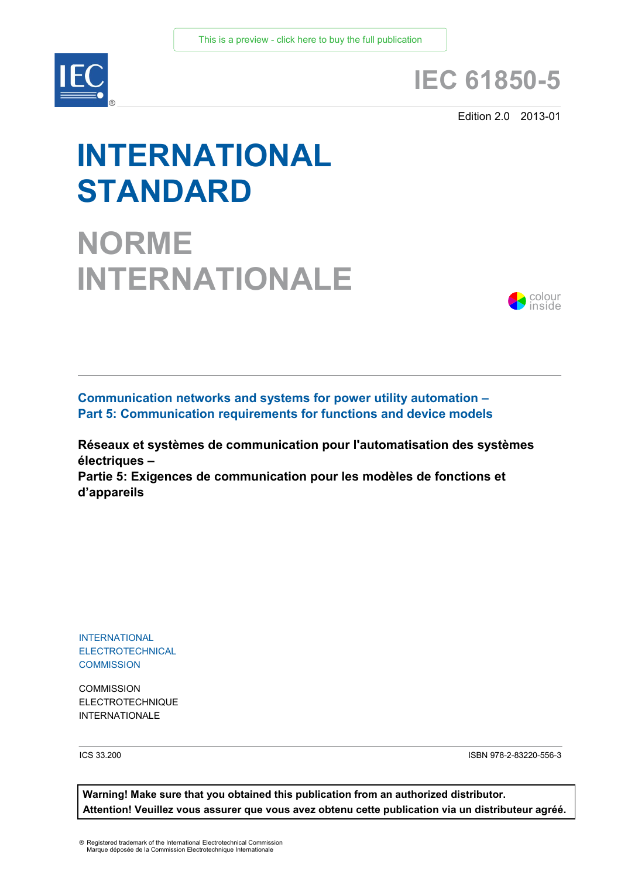

## **IEC 61850-5**

Edition 2.0 2013-01

# **INTERNATIONAL STANDARD**

## **NORME INTERNATIONALE**



**Communication networks and systems for power utility automation – Part 5: Communication requirements for functions and device models**

**Réseaux et systèmes de communication pour l'automatisation des systèmes électriques – Partie 5: Exigences de communication pour les modèles de fonctions et** 

**d'appareils**

INTERNATIONAL **ELECTROTECHNICAL COMMISSION** 

**COMMISSION** ELECTROTECHNIQUE **INTERNATIONALE** 

ICS 33.200

ISBN 978-2-83220-556-3

**Warning! Make sure that you obtained this publication from an authorized distributor. Attention! Veuillez vous assurer que vous avez obtenu cette publication via un distributeur agréé.**

® Registered trademark of the International Electrotechnical Commission Marque déposée de la Commission Electrotechnique Internationale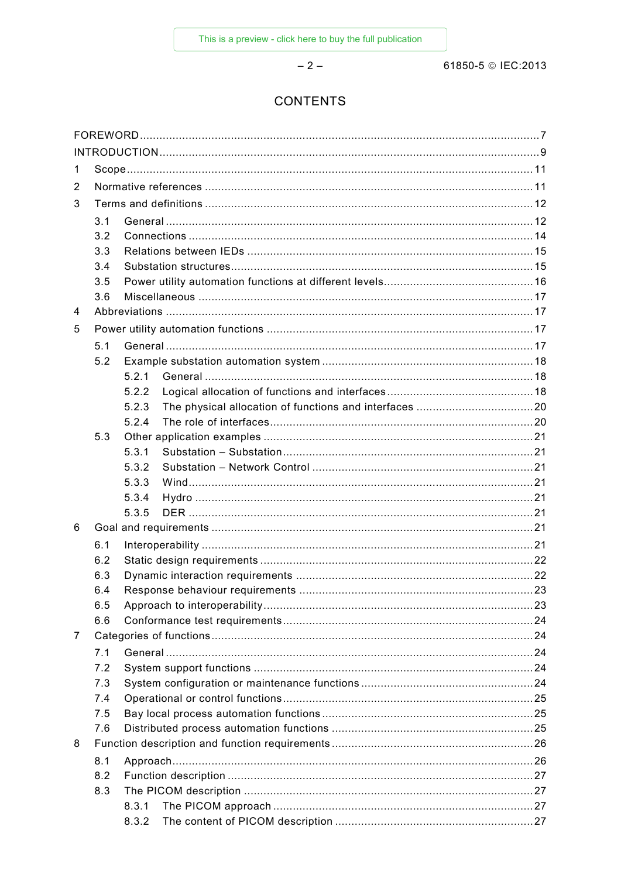$-2-$ 

61850-5 © IEC:2013

### **CONTENTS**

| 1 |     |       |  |  |  |
|---|-----|-------|--|--|--|
| 2 |     |       |  |  |  |
| 3 |     |       |  |  |  |
|   | 3.1 |       |  |  |  |
|   | 3.2 |       |  |  |  |
|   | 3.3 |       |  |  |  |
|   | 3.4 |       |  |  |  |
|   | 3.5 |       |  |  |  |
|   | 3.6 |       |  |  |  |
| 4 |     |       |  |  |  |
| 5 |     |       |  |  |  |
|   | 5.1 |       |  |  |  |
|   | 5.2 |       |  |  |  |
|   |     | 5.2.1 |  |  |  |
|   |     | 5.2.2 |  |  |  |
|   |     | 5.2.3 |  |  |  |
|   |     | 5.2.4 |  |  |  |
|   | 5.3 |       |  |  |  |
|   |     | 5.3.1 |  |  |  |
|   |     | 5.3.2 |  |  |  |
|   |     | 5.3.3 |  |  |  |
|   |     | 5.3.4 |  |  |  |
|   |     | 5.3.5 |  |  |  |
| 6 |     |       |  |  |  |
|   | 6.1 |       |  |  |  |
|   | 6.2 |       |  |  |  |
|   | 6.3 |       |  |  |  |
|   | 6.4 |       |  |  |  |
|   | 6.5 |       |  |  |  |
|   | 6.6 |       |  |  |  |
| 7 |     |       |  |  |  |
|   | 7.1 |       |  |  |  |
|   | 7.2 |       |  |  |  |
|   | 7.3 |       |  |  |  |
|   | 7.4 |       |  |  |  |
|   | 7.5 |       |  |  |  |
|   | 7.6 |       |  |  |  |
| 8 |     |       |  |  |  |
|   | 8.1 |       |  |  |  |
|   | 8.2 |       |  |  |  |
|   | 8.3 |       |  |  |  |
|   |     | 8.3.1 |  |  |  |
|   |     | 8.3.2 |  |  |  |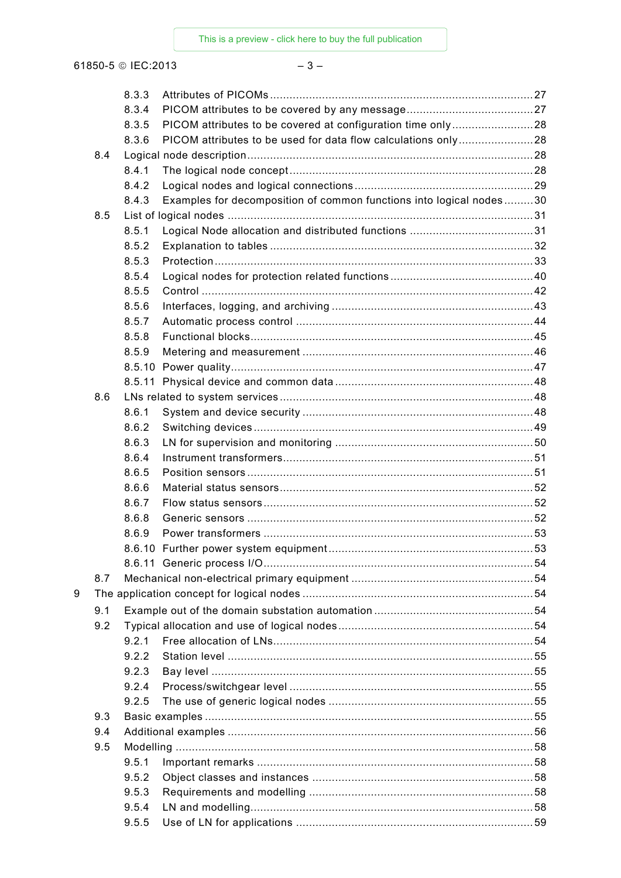61850-5 © IEC:2013

 $-3-$ 

|   |     | 8.3.3 |                                                                     |  |
|---|-----|-------|---------------------------------------------------------------------|--|
|   |     | 8.3.4 |                                                                     |  |
|   |     | 8.3.5 |                                                                     |  |
|   |     | 8.3.6 | PICOM attributes to be used for data flow calculations only28       |  |
|   | 8.4 |       |                                                                     |  |
|   |     | 8.4.1 |                                                                     |  |
|   |     | 8.4.2 |                                                                     |  |
|   |     | 8.4.3 | Examples for decomposition of common functions into logical nodes30 |  |
|   | 8.5 |       |                                                                     |  |
|   |     | 8.5.1 |                                                                     |  |
|   |     | 8.5.2 |                                                                     |  |
|   |     | 8.5.3 |                                                                     |  |
|   |     | 8.5.4 |                                                                     |  |
|   |     | 8.5.5 |                                                                     |  |
|   |     | 8.5.6 |                                                                     |  |
|   |     | 8.5.7 |                                                                     |  |
|   |     | 8.5.8 |                                                                     |  |
|   |     | 8.5.9 |                                                                     |  |
|   |     |       |                                                                     |  |
|   |     |       |                                                                     |  |
|   | 8.6 |       |                                                                     |  |
|   |     | 8.6.1 |                                                                     |  |
|   |     | 8.6.2 |                                                                     |  |
|   |     | 8.6.3 |                                                                     |  |
|   |     | 8.6.4 |                                                                     |  |
|   |     | 8.6.5 |                                                                     |  |
|   |     | 8.6.6 |                                                                     |  |
|   |     | 8.6.7 |                                                                     |  |
|   |     | 8.6.8 |                                                                     |  |
|   |     | 8.6.9 |                                                                     |  |
|   |     |       |                                                                     |  |
|   |     |       |                                                                     |  |
|   | 8.7 |       |                                                                     |  |
| 9 |     |       |                                                                     |  |
|   |     |       |                                                                     |  |
|   | 9.1 |       |                                                                     |  |
|   | 9.2 |       |                                                                     |  |
|   |     | 9.2.1 |                                                                     |  |
|   |     | 9.2.2 |                                                                     |  |
|   |     | 9.2.3 |                                                                     |  |
|   |     | 9.2.4 |                                                                     |  |
|   |     | 9.2.5 |                                                                     |  |
|   | 9.3 |       |                                                                     |  |
|   | 9.4 |       |                                                                     |  |
|   | 9.5 |       |                                                                     |  |
|   |     | 9.5.1 |                                                                     |  |
|   |     | 9.5.2 |                                                                     |  |
|   |     | 9.5.3 |                                                                     |  |
|   |     | 9.5.4 |                                                                     |  |
|   |     | 9.5.5 |                                                                     |  |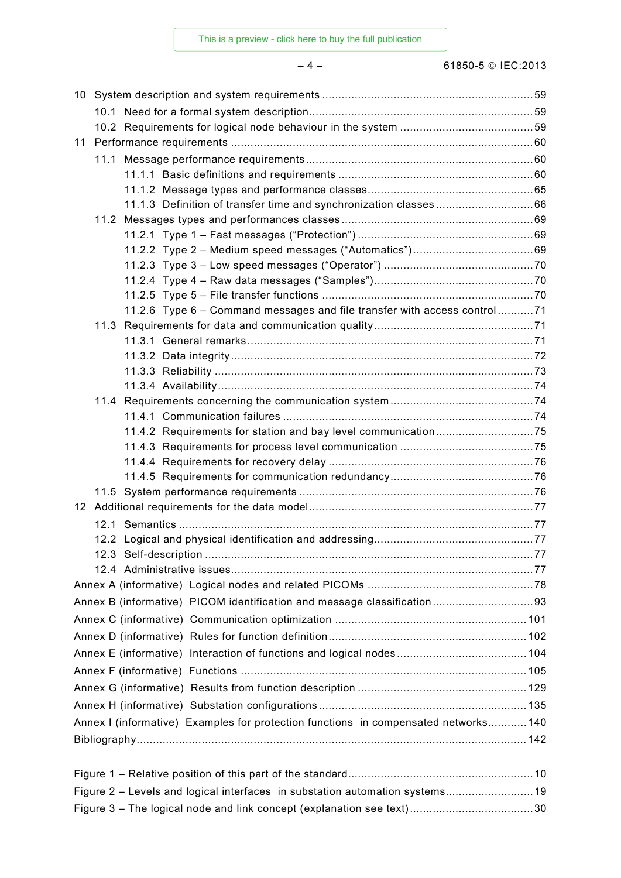$-4 -$  61850-5 © IEC:2013

| 11 |                                                                                     |  |
|----|-------------------------------------------------------------------------------------|--|
|    |                                                                                     |  |
|    |                                                                                     |  |
|    |                                                                                     |  |
|    |                                                                                     |  |
|    |                                                                                     |  |
|    |                                                                                     |  |
|    |                                                                                     |  |
|    |                                                                                     |  |
|    |                                                                                     |  |
|    |                                                                                     |  |
|    | 11.2.6 Type 6 - Command messages and file transfer with access control71            |  |
|    |                                                                                     |  |
|    |                                                                                     |  |
|    |                                                                                     |  |
|    |                                                                                     |  |
|    |                                                                                     |  |
|    |                                                                                     |  |
|    |                                                                                     |  |
|    | 11.4.2 Requirements for station and bay level communication75                       |  |
|    |                                                                                     |  |
|    |                                                                                     |  |
|    |                                                                                     |  |
|    |                                                                                     |  |
|    |                                                                                     |  |
|    |                                                                                     |  |
|    |                                                                                     |  |
|    |                                                                                     |  |
|    |                                                                                     |  |
|    |                                                                                     |  |
|    | Annex B (informative) PICOM identification and message classification 93            |  |
|    |                                                                                     |  |
|    |                                                                                     |  |
|    |                                                                                     |  |
|    |                                                                                     |  |
|    |                                                                                     |  |
|    |                                                                                     |  |
|    | Annex I (informative) Examples for protection functions in compensated networks 140 |  |
|    |                                                                                     |  |
|    |                                                                                     |  |
|    |                                                                                     |  |

| Figure 2 – Levels and logical interfaces in substation automation systems 19 |  |
|------------------------------------------------------------------------------|--|
|                                                                              |  |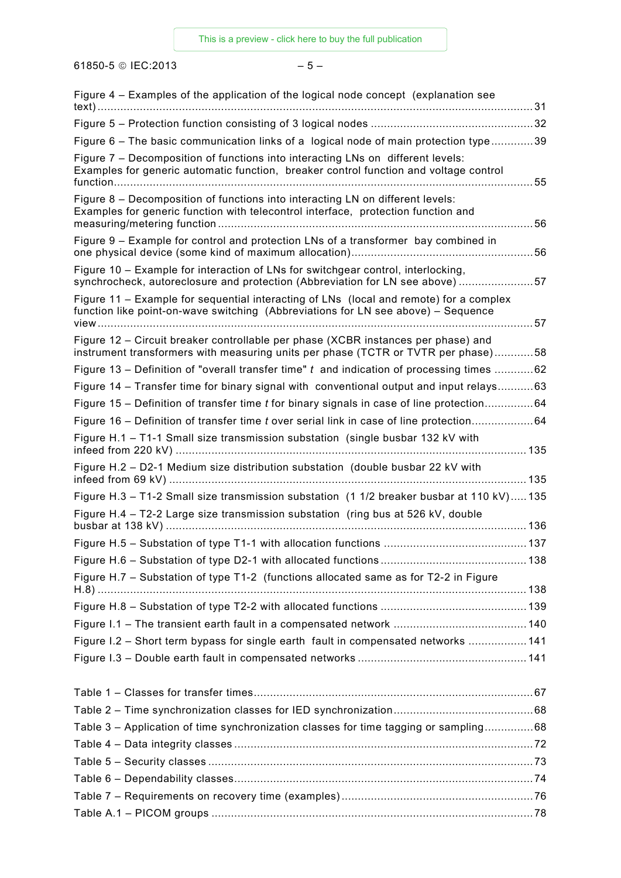61850-5 © IEC:2013 – 5 –

| Figure 4 – Examples of the application of the logical node concept (explanation see                                                                                         |
|-----------------------------------------------------------------------------------------------------------------------------------------------------------------------------|
|                                                                                                                                                                             |
| Figure 6 – The basic communication links of a logical node of main protection type39                                                                                        |
| Figure 7 – Decomposition of functions into interacting LNs on different levels:<br>Examples for generic automatic function, breaker control function and voltage control    |
| Figure 8 – Decomposition of functions into interacting LN on different levels:                                                                                              |
| Examples for generic function with telecontrol interface, protection function and                                                                                           |
| Figure 9 – Example for control and protection LNs of a transformer bay combined in                                                                                          |
| Figure 10 – Example for interaction of LNs for switchgear control, interlocking,<br>synchrocheck, autoreclosure and protection (Abbreviation for LN see above) 57           |
| Figure 11 – Example for sequential interacting of LNs (local and remote) for a complex<br>function like point-on-wave switching (Abbreviations for LN see above) - Sequence |
|                                                                                                                                                                             |
| Figure 12 - Circuit breaker controllable per phase (XCBR instances per phase) and<br>instrument transformers with measuring units per phase (TCTR or TVTR per phase)58      |
| Figure 13 – Definition of "overall transfer time" t and indication of processing times 62                                                                                   |
| Figure 14 – Transfer time for binary signal with conventional output and input relays63                                                                                     |
| Figure 15 – Definition of transfer time t for binary signals in case of line protection64                                                                                   |
| Figure 16 - Definition of transfer time t over serial link in case of line protection64                                                                                     |
| Figure H.1 - T1-1 Small size transmission substation (single busbar 132 kV with                                                                                             |
| Figure H.2 - D2-1 Medium size distribution substation (double busbar 22 kV with                                                                                             |
| Figure H.3 - T1-2 Small size transmission substation (1 1/2 breaker busbar at 110 kV) 135                                                                                   |
| Figure H.4 - T2-2 Large size transmission substation (ring bus at 526 kV, double                                                                                            |
|                                                                                                                                                                             |
|                                                                                                                                                                             |
| Figure H.7 - Substation of type T1-2 (functions allocated same as for T2-2 in Figure                                                                                        |
|                                                                                                                                                                             |
|                                                                                                                                                                             |
|                                                                                                                                                                             |
| Figure I.2 - Short term bypass for single earth fault in compensated networks  141                                                                                          |
|                                                                                                                                                                             |
|                                                                                                                                                                             |
|                                                                                                                                                                             |
| Table 3 – Application of time synchronization classes for time tagging or sampling68                                                                                        |
|                                                                                                                                                                             |
|                                                                                                                                                                             |
|                                                                                                                                                                             |
|                                                                                                                                                                             |
|                                                                                                                                                                             |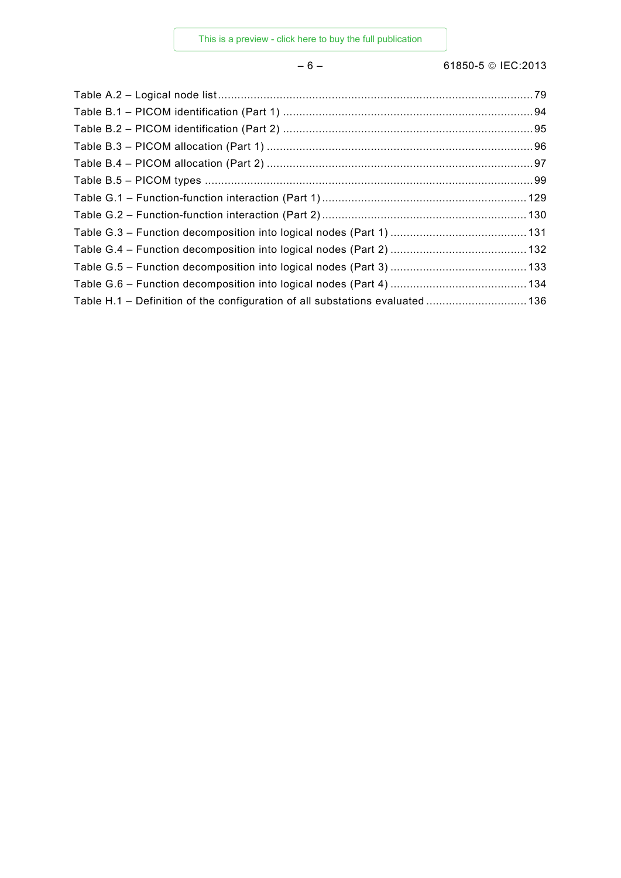– 6 – 61850-5 IEC:2013

| Table H.1 – Definition of the configuration of all substations evaluated136 |  |
|-----------------------------------------------------------------------------|--|
|                                                                             |  |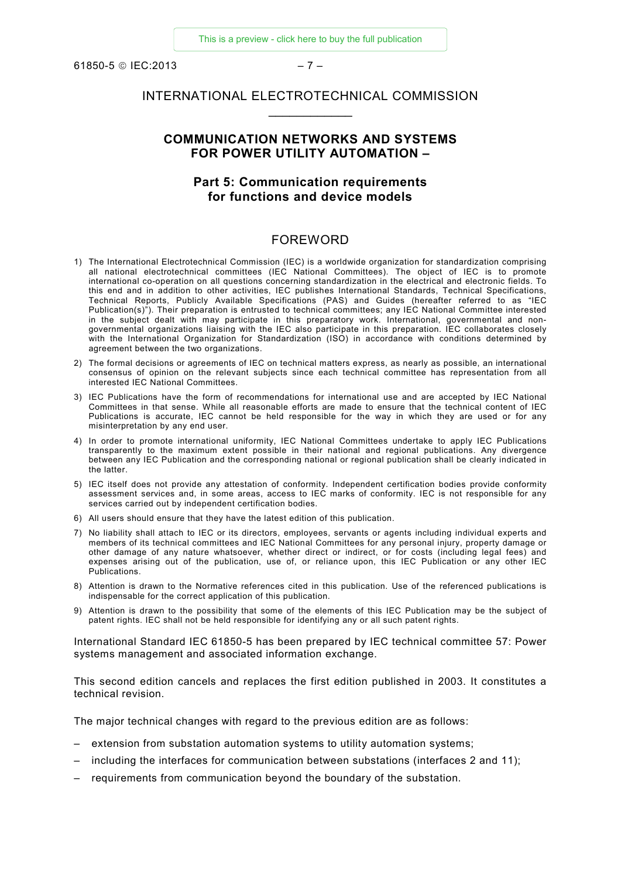61850-5 © IFC:2013 – 7 –

### INTERNATIONAL ELECTROTECHNICAL COMMISSION \_\_\_\_\_\_\_\_\_\_\_\_

### **COMMUNICATION NETWORKS AND SYSTEMS FOR POWER UTILITY AUTOMATION –**

### **Part 5: Communication requirements for functions and device models**

### FOREWORD

- 1) The International Electrotechnical Commission (IEC) is a worldwide organization for standardization comprising all national electrotechnical committees (IEC National Committees). The object of IEC is to promote international co-operation on all questions concerning standardization in the electrical and electronic fields. To this end and in addition to other activities, IEC publishes International Standards, Technical Specifications, Technical Reports, Publicly Available Specifications (PAS) and Guides (hereafter referred to as "IEC Publication(s)"). Their preparation is entrusted to technical committees; any IEC National Committee interested in the subject dealt with may participate in this preparatory work. International, governmental and nongovernmental organizations liaising with the IEC also participate in this preparation. IEC collaborates closely with the International Organization for Standardization (ISO) in accordance with conditions determined by agreement between the two organizations.
- 2) The formal decisions or agreements of IEC on technical matters express, as nearly as possible, an international consensus of opinion on the relevant subjects since each technical committee has representation from all interested IEC National Committees.
- 3) IEC Publications have the form of recommendations for international use and are accepted by IEC National Committees in that sense. While all reasonable efforts are made to ensure that the technical content of IEC Publications is accurate, IEC cannot be held responsible for the way in which they are used or for any misinterpretation by any end user.
- 4) In order to promote international uniformity, IEC National Committees undertake to apply IEC Publications transparently to the maximum extent possible in their national and regional publications. Any divergence between any IEC Publication and the corresponding national or regional publication shall be clearly indicated in the latter.
- 5) IEC itself does not provide any attestation of conformity. Independent certification bodies provide conformity assessment services and, in some areas, access to IEC marks of conformity. IEC is not responsible for any services carried out by independent certification bodies.
- 6) All users should ensure that they have the latest edition of this publication.
- 7) No liability shall attach to IEC or its directors, employees, servants or agents including individual experts and members of its technical committees and IEC National Committees for any personal injury, property damage or other damage of any nature whatsoever, whether direct or indirect, or for costs (including legal fees) and expenses arising out of the publication, use of, or reliance upon, this IEC Publication or any other IEC Publications.
- 8) Attention is drawn to the Normative references cited in this publication. Use of the referenced publications is indispensable for the correct application of this publication.
- 9) Attention is drawn to the possibility that some of the elements of this IEC Publication may be the subject of patent rights. IEC shall not be held responsible for identifying any or all such patent rights.

International Standard IEC 61850-5 has been prepared by IEC technical committee 57: Power systems management and associated information exchange.

This second edition cancels and replaces the first edition published in 2003. It constitutes a technical revision.

The major technical changes with regard to the previous edition are as follows:

- extension from substation automation systems to utility automation systems;
- including the interfaces for communication between substations (interfaces 2 and 11);
- requirements from communication beyond the boundary of the substation.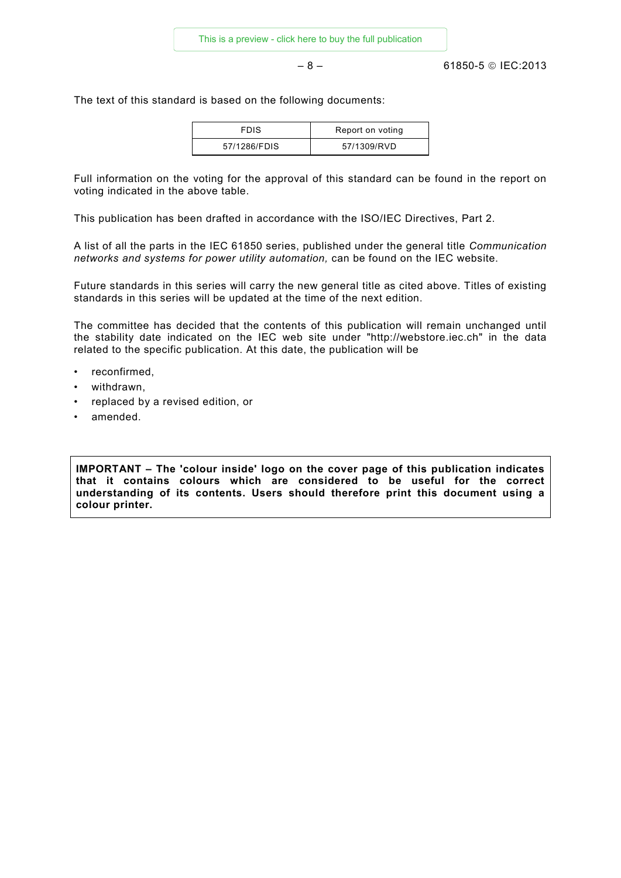$-8 - 61850 - 5 \circ \text{IEC:}2013$ 

The text of this standard is based on the following documents:

| <b>FDIS</b>  | Report on voting |
|--------------|------------------|
| 57/1286/FDIS | 57/1309/RVD      |

Full information on the voting for the approval of this standard can be found in the report on voting indicated in the above table.

This publication has been drafted in accordance with the ISO/IEC Directives, Part 2.

A list of all the parts in the IEC 61850 series, published under the general title *Communication networks and systems for power utility automation,* can be found on the IEC website.

Future standards in this series will carry the new general title as cited above. Titles of existing standards in this series will be updated at the time of the next edition.

The committee has decided that the contents of this publication will remain unchanged until the stability date indicated on the IEC web site under "http://webstore.iec.ch" in the data related to the specific publication. At this date, the publication will be

- reconfirmed,
- withdrawn.
- replaced by a revised edition, or
- amended.

**IMPORTANT – The 'colour inside' logo on the cover page of this publication indicates that it contains colours which are considered to be useful for the correct understanding of its contents. Users should therefore print this document using a colour printer.**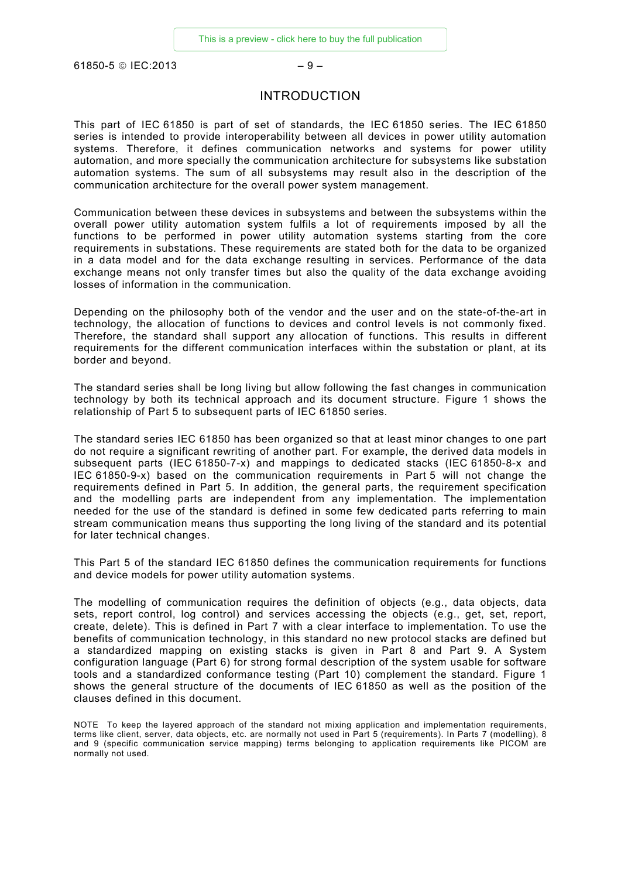61850-5 © IFC:2013 – 9 –

### INTRODUCTION

This part of IEC 61850 is part of set of standards, the IEC 61850 series. The IEC 61850 series is intended to provide interoperability between all devices in power utility automation systems. Therefore, it defines communication networks and systems for power utility automation, and more specially the communication architecture for subsystems like substation automation systems. The sum of all subsystems may result also in the description of the communication architecture for the overall power system management.

Communication between these devices in subsystems and between the subsystems within the overall power utility automation system fulfils a lot of requirements imposed by all the functions to be performed in power utility automation systems starting from the core requirements in substations. These requirements are stated both for the data to be organized in a data model and for the data exchange resulting in services. Performance of the data exchange means not only transfer times but also the quality of the data exchange avoiding losses of information in the communication.

Depending on the philosophy both of the vendor and the user and on the state-of-the-art in technology, the allocation of functions to devices and control levels is not commonly fixed. Therefore, the standard shall support any allocation of functions. This results in different requirements for the different communication interfaces within the substation or plant, at its border and beyond.

The standard series shall be long living but allow following the fast changes in communication technology by both its technical approach and its document structure. Figure 1 shows the relationship of Part 5 to subsequent parts of IEC 61850 series.

The standard series IEC 61850 has been organized so that at least minor changes to one part do not require a significant rewriting of another part. For example, the derived data models in subsequent parts (IEC 61850-7-x) and mappings to dedicated stacks (IEC 61850-8-x and IEC 61850-9-x) based on the communication requirements in Part 5 will not change the requirements defined in Part 5. In addition, the general parts, the requirement specification and the modelling parts are independent from any implementation. The implementation needed for the use of the standard is defined in some few dedicated parts referring to main stream communication means thus supporting the long living of the standard and its potential for later technical changes.

This Part 5 of the standard IEC 61850 defines the communication requirements for functions and device models for power utility automation systems.

The modelling of communication requires the definition of objects (e.g., data objects, data sets, report control, log control) and services accessing the objects (e.g., get, set, report, create, delete). This is defined in Part 7 with a clear interface to implementation. To use the benefits of communication technology, in this standard no new protocol stacks are defined but a standardized mapping on existing stacks is given in Part 8 and Part 9. A System configuration language (Part 6) for strong formal description of the system usable for software tools and a standardized conformance testing (Part 10) complement the standard. [Figure 1](#page-9-0)  shows the general structure of the documents of IEC 61850 as well as the position of the clauses defined in this document.

NOTE To keep the layered approach of the standard not mixing application and implementation requirements, terms like client, server, data objects, etc. are normally not used in Part 5 (requirements). In Parts 7 (modelling), 8 and 9 (specific communication service mapping) terms belonging to application requirements like PICOM are normally not used.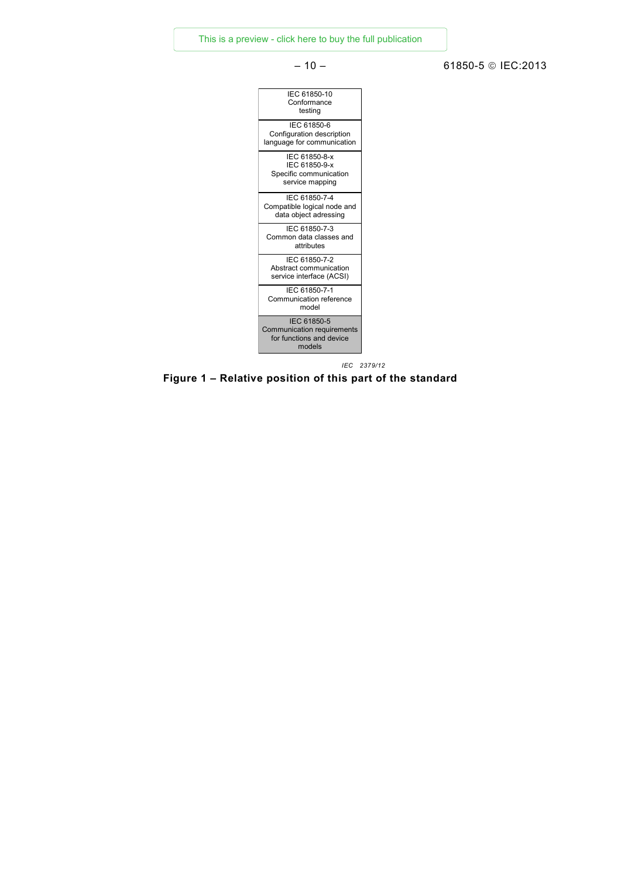– 10 – 61850-5 IEC:2013



<span id="page-9-0"></span>**Figure 1 – Relative position of this part of the standard**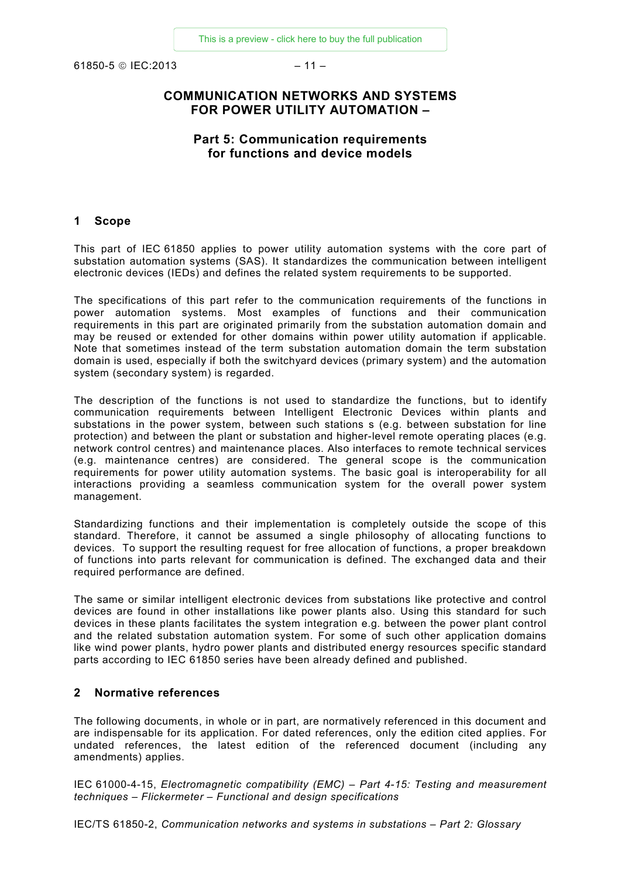$61850-5$  © IFC:2013 – 11 –

### **COMMUNICATION NETWORKS AND SYSTEMS FOR POWER UTILITY AUTOMATION –**

### **Part 5: Communication requirements for functions and device models**

### **1 Scope**

This part of IEC 61850 applies to power utility automation systems with the core part of substation automation systems (SAS). It standardizes the communication between intelligent electronic devices (IEDs) and defines the related system requirements to be supported.

The specifications of this part refer to the communication requirements of the functions in power automation systems. Most examples of functions and their communication requirements in this part are originated primarily from the substation automation domain and may be reused or extended for other domains within power utility automation if applicable. Note that sometimes instead of the term substation automation domain the term substation domain is used, especially if both the switchyard devices (primary system) and the automation system (secondary system) is regarded.

The description of the functions is not used to standardize the functions, but to identify communication requirements between Intelligent Electronic Devices within plants and substations in the power system, between such stations s (e.g. between substation for line protection) and between the plant or substation and higher-level remote operating places (e.g. network control centres) and maintenance places. Also interfaces to remote technical services (e.g. maintenance centres) are considered. The general scope is the communication requirements for power utility automation systems. The basic goal is interoperability for all interactions providing a seamless communication system for the overall power system management.

Standardizing functions and their implementation is completely outside the scope of this standard. Therefore, it cannot be assumed a single philosophy of allocating functions to devices. To support the resulting request for free allocation of functions, a proper breakdown of functions into parts relevant for communication is defined. The exchanged data and their required performance are defined.

The same or similar intelligent electronic devices from substations like protective and control devices are found in other installations like power plants also. Using this standard for such devices in these plants facilitates the system integration e.g. between the power plant control and the related substation automation system. For some of such other application domains like wind power plants, hydro power plants and distributed energy resources specific standard parts according to IEC 61850 series have been already defined and published.

### **2 Normative references**

The following documents, in whole or in part, are normatively referenced in this document and are indispensable for its application. For dated references, only the edition cited applies. For undated references, the latest edition of the referenced document (including any amendments) applies.

IEC 61000-4-15, *Electromagnetic compatibility (EMC) – Part 4-15: Testing and measurement techniques – Flickermeter – Functional and design specifications*

IEC/TS 61850-2, *Communication networks and systems in substations – Part 2: Glossary*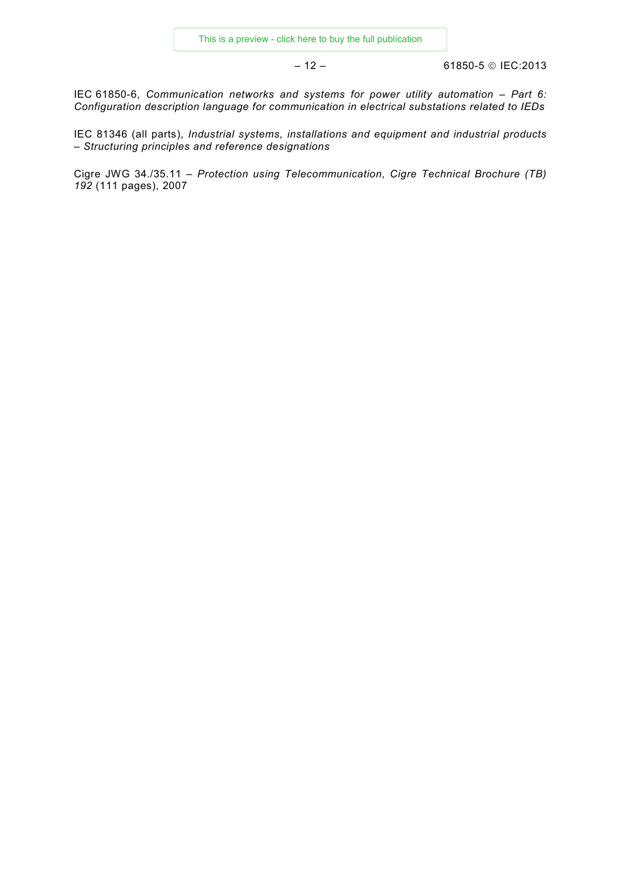– 12 – 61850-5 IEC:2013

IEC 61850-6, *Communication networks and systems for power utility automation – Part 6: Configuration description language for communication in electrical substations related to IEDs*

IEC 81346 (all parts), *Industrial systems, installations and equipment and industrial products – Structuring principles and reference designations* 

Cigre JWG 34./35.11 – *Protection using Telecommunication, Cigre Technical Brochure (TB) 192* (111 pages), 2007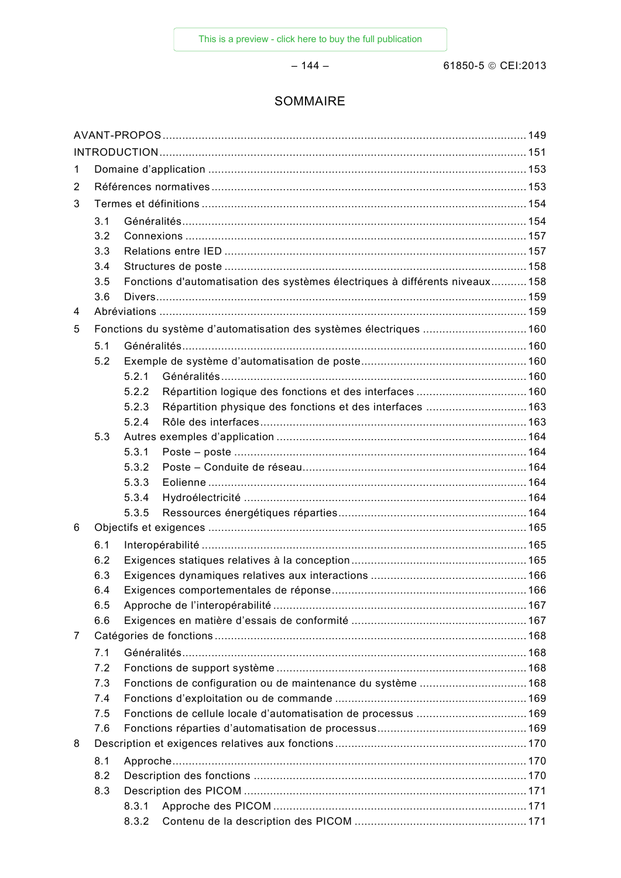$-144-$ 

61850-5 © CEI:2013

### SOMMAIRE

| $\mathbf 1$ |            |       |                                                                             |  |  |
|-------------|------------|-------|-----------------------------------------------------------------------------|--|--|
| 2           |            |       |                                                                             |  |  |
| 3           |            |       |                                                                             |  |  |
|             | 3.1        |       |                                                                             |  |  |
|             | 3.2        |       |                                                                             |  |  |
|             | 3.3        |       |                                                                             |  |  |
|             | 3.4        |       |                                                                             |  |  |
|             | 3.5        |       | Fonctions d'automatisation des systèmes électriques à différents niveaux158 |  |  |
|             | 3.6        |       |                                                                             |  |  |
| 4           |            |       |                                                                             |  |  |
| 5           |            |       | Fonctions du système d'automatisation des systèmes électriques 160          |  |  |
|             | 5.1        |       |                                                                             |  |  |
|             | 5.2        |       |                                                                             |  |  |
|             |            | 5.2.1 |                                                                             |  |  |
|             |            | 5.2.2 |                                                                             |  |  |
|             |            | 5.2.3 | Répartition physique des fonctions et des interfaces  163                   |  |  |
|             |            | 5.2.4 |                                                                             |  |  |
|             | 5.3        |       |                                                                             |  |  |
|             |            | 5.3.1 |                                                                             |  |  |
|             |            | 5.3.2 |                                                                             |  |  |
|             |            | 5.3.3 |                                                                             |  |  |
|             |            | 5.3.4 |                                                                             |  |  |
|             |            | 5.3.5 |                                                                             |  |  |
| 6           |            |       |                                                                             |  |  |
|             | 6.1        |       |                                                                             |  |  |
|             | 6.2        |       |                                                                             |  |  |
|             | 6.3        |       |                                                                             |  |  |
|             | 6.4        |       |                                                                             |  |  |
|             | 6.5        |       |                                                                             |  |  |
|             | 6.6        |       |                                                                             |  |  |
| 7           |            |       |                                                                             |  |  |
|             | 7.1        |       |                                                                             |  |  |
|             | 7.2        |       |                                                                             |  |  |
|             | 7.3        |       | Fonctions de configuration ou de maintenance du système  168                |  |  |
|             | 7.4<br>7.5 |       |                                                                             |  |  |
|             | 7.6        |       |                                                                             |  |  |
| 8           |            |       |                                                                             |  |  |
|             |            |       |                                                                             |  |  |
|             | 8.1<br>8.2 |       |                                                                             |  |  |
|             | 8.3        |       |                                                                             |  |  |
|             |            | 8.3.1 |                                                                             |  |  |
|             |            | 8.3.2 |                                                                             |  |  |
|             |            |       |                                                                             |  |  |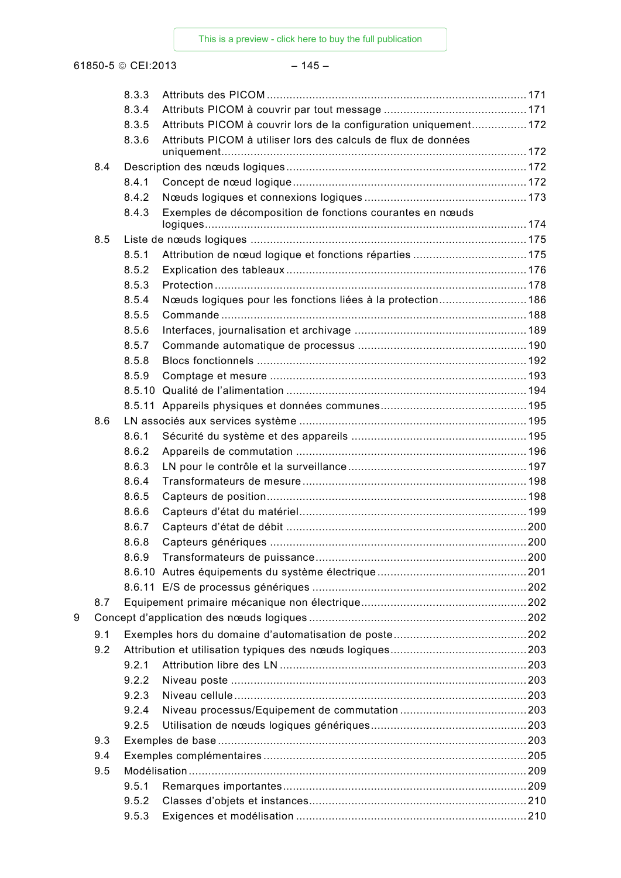61850-5 © CEI:2013 - 145 -

|   |     | 8.3.3  |                                                                  |  |
|---|-----|--------|------------------------------------------------------------------|--|
|   |     | 8.3.4  |                                                                  |  |
|   |     | 8.3.5  | Attributs PICOM à couvrir lors de la configuration uniquement172 |  |
|   |     | 8.3.6  | Attributs PICOM à utiliser lors des calculs de flux de données   |  |
|   |     |        |                                                                  |  |
|   | 8.4 |        |                                                                  |  |
|   |     | 8.4.1  |                                                                  |  |
|   |     | 8.4.2  |                                                                  |  |
|   |     | 8.4.3  | Exemples de décomposition de fonctions courantes en nœuds        |  |
|   | 8.5 |        |                                                                  |  |
|   |     | 8.5.1  |                                                                  |  |
|   |     | 8.5.2  |                                                                  |  |
|   |     | 8.5.3  |                                                                  |  |
|   |     | 8.5.4  | Nœuds logiques pour les fonctions liées à la protection 186      |  |
|   |     | 8.5.5  |                                                                  |  |
|   |     | 8.5.6  |                                                                  |  |
|   |     | 8.5.7  |                                                                  |  |
|   |     | 8.5.8  |                                                                  |  |
|   |     | 8.5.9  |                                                                  |  |
|   |     | 8.5.10 |                                                                  |  |
|   |     |        |                                                                  |  |
|   | 8.6 |        |                                                                  |  |
|   |     | 8.6.1  |                                                                  |  |
|   |     | 8.6.2  |                                                                  |  |
|   |     | 8.6.3  |                                                                  |  |
|   |     | 8.6.4  |                                                                  |  |
|   |     | 8.6.5  |                                                                  |  |
|   |     | 8.6.6  |                                                                  |  |
|   |     | 8.6.7  |                                                                  |  |
|   |     | 8.6.8  |                                                                  |  |
|   |     | 8.6.9  |                                                                  |  |
|   |     |        |                                                                  |  |
|   |     |        |                                                                  |  |
|   | 8.7 |        |                                                                  |  |
| 9 |     |        |                                                                  |  |
|   |     |        |                                                                  |  |
|   | 9.1 |        |                                                                  |  |
|   | 9.2 |        |                                                                  |  |
|   |     | 9.2.1  |                                                                  |  |
|   |     | 9.2.2  |                                                                  |  |
|   |     | 9.2.3  |                                                                  |  |
|   |     | 9.2.4  |                                                                  |  |
|   |     | 9.2.5  |                                                                  |  |
|   | 9.3 |        |                                                                  |  |
|   | 9.4 |        |                                                                  |  |
|   | 9.5 |        |                                                                  |  |
|   |     | 9.5.1  |                                                                  |  |
|   |     | 9.5.2  |                                                                  |  |
|   |     | 9.5.3  |                                                                  |  |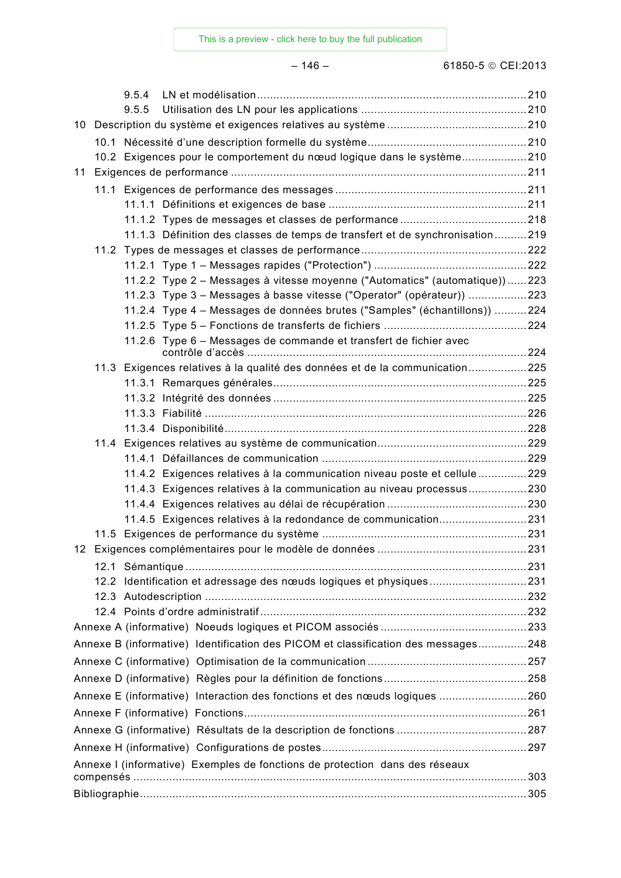|    | 9.5.5 |                                                                                   |  |
|----|-------|-----------------------------------------------------------------------------------|--|
|    |       |                                                                                   |  |
|    |       |                                                                                   |  |
|    |       | 10.2 Exigences pour le comportement du nœud logique dans le système210            |  |
| 11 |       |                                                                                   |  |
|    |       |                                                                                   |  |
|    |       |                                                                                   |  |
|    |       |                                                                                   |  |
|    |       | 11.1.3 Définition des classes de temps de transfert et de synchronisation219      |  |
|    |       |                                                                                   |  |
|    |       | 11.2.2 Type 2 - Messages à vitesse moyenne ("Automatics" (automatique))223        |  |
|    |       | 11.2.3 Type 3 - Messages à basse vitesse ("Operator" (opérateur)) 223             |  |
|    |       | 11.2.4 Type 4 - Messages de données brutes ("Samples" (échantillons)) 224         |  |
|    |       |                                                                                   |  |
|    |       | 11.2.6 Type 6 - Messages de commande et transfert de fichier avec                 |  |
|    |       | 11.3 Exigences relatives à la qualité des données et de la communication225       |  |
|    |       |                                                                                   |  |
|    |       |                                                                                   |  |
|    |       |                                                                                   |  |
|    |       |                                                                                   |  |
|    |       |                                                                                   |  |
|    |       |                                                                                   |  |
|    |       | 11.4.2 Exigences relatives à la communication niveau poste et cellule 229         |  |
|    |       | 11.4.3 Exigences relatives à la communication au niveau processus230              |  |
|    |       |                                                                                   |  |
|    |       |                                                                                   |  |
|    |       |                                                                                   |  |
|    |       |                                                                                   |  |
|    |       |                                                                                   |  |
|    |       | 12.2 Identification et adressage des nœuds logiques et physiques231               |  |
|    |       |                                                                                   |  |
|    |       |                                                                                   |  |
|    |       | Annexe B (informative) Identification des PICOM et classification des messages248 |  |
|    |       |                                                                                   |  |
|    |       |                                                                                   |  |
|    |       |                                                                                   |  |
|    |       | Annexe E (informative) Interaction des fonctions et des nœuds logiques 260        |  |
|    |       |                                                                                   |  |
|    |       |                                                                                   |  |
|    |       |                                                                                   |  |
|    |       | Annexe I (informative) Exemples de fonctions de protection dans des réseaux       |  |
|    |       |                                                                                   |  |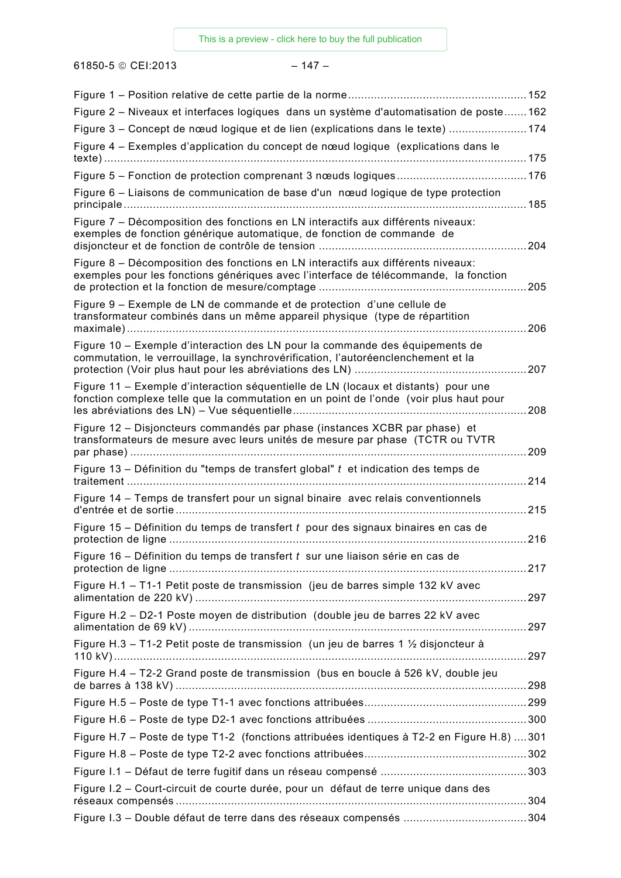61850-5 CEI:2013 – 147 –

| Figure 2 - Niveaux et interfaces logiques dans un système d'automatisation de poste 162                                                                                     |      |
|-----------------------------------------------------------------------------------------------------------------------------------------------------------------------------|------|
| Figure 3 - Concept de nœud logique et de lien (explications dans le texte)  174                                                                                             |      |
| Figure 4 – Exemples d'application du concept de nœud logique (explications dans le                                                                                          |      |
|                                                                                                                                                                             |      |
| Figure 6 – Liaisons de communication de base d'un nœud logique de type protection                                                                                           |      |
| Figure 7 – Décomposition des fonctions en LN interactifs aux différents niveaux:<br>exemples de fonction générique automatique, de fonction de commande de                  |      |
| Figure 8 – Décomposition des fonctions en LN interactifs aux différents niveaux:<br>exemples pour les fonctions génériques avec l'interface de télécommande, la fonction    |      |
| Figure 9 – Exemple de LN de commande et de protection d'une cellule de<br>transformateur combinés dans un même appareil physique (type de répartition                       | .206 |
| Figure 10 - Exemple d'interaction des LN pour la commande des équipements de<br>commutation, le verrouillage, la synchrovérification, l'autoréenclenchement et la           |      |
| Figure 11 – Exemple d'interaction séquentielle de LN (locaux et distants) pour une<br>fonction complexe telle que la commutation en un point de l'onde (voir plus haut pour |      |
| Figure 12 – Disjoncteurs commandés par phase (instances XCBR par phase) et<br>transformateurs de mesure avec leurs unités de mesure par phase (TCTR ou TVTR                 |      |
| Figure 13 - Définition du "temps de transfert global" $t$ et indication des temps de                                                                                        |      |
| Figure 14 - Temps de transfert pour un signal binaire avec relais conventionnels                                                                                            |      |
| Figure 15 – Définition du temps de transfert $t$ pour des signaux binaires en cas de                                                                                        |      |
| Figure 16 - Définition du temps de transfert $t$ sur une liaison série en cas de                                                                                            |      |
| Figure H.1 - T1-1 Petit poste de transmission (jeu de barres simple 132 kV avec                                                                                             |      |
| Figure H.2 - D2-1 Poste moyen de distribution (double jeu de barres 22 kV avec                                                                                              |      |
| Figure H.3 - T1-2 Petit poste de transmission (un jeu de barres 1 $\frac{1}{2}$ disjoncteur à                                                                               |      |
| Figure H.4 - T2-2 Grand poste de transmission (bus en boucle à 526 kV, double jeu                                                                                           |      |
|                                                                                                                                                                             |      |
|                                                                                                                                                                             |      |
| Figure H.7 – Poste de type T1-2 (fonctions attribuées identiques à T2-2 en Figure H.8) 301                                                                                  |      |
|                                                                                                                                                                             |      |
|                                                                                                                                                                             |      |
| Figure I.2 – Court-circuit de courte durée, pour un défaut de terre unique dans des                                                                                         |      |
|                                                                                                                                                                             |      |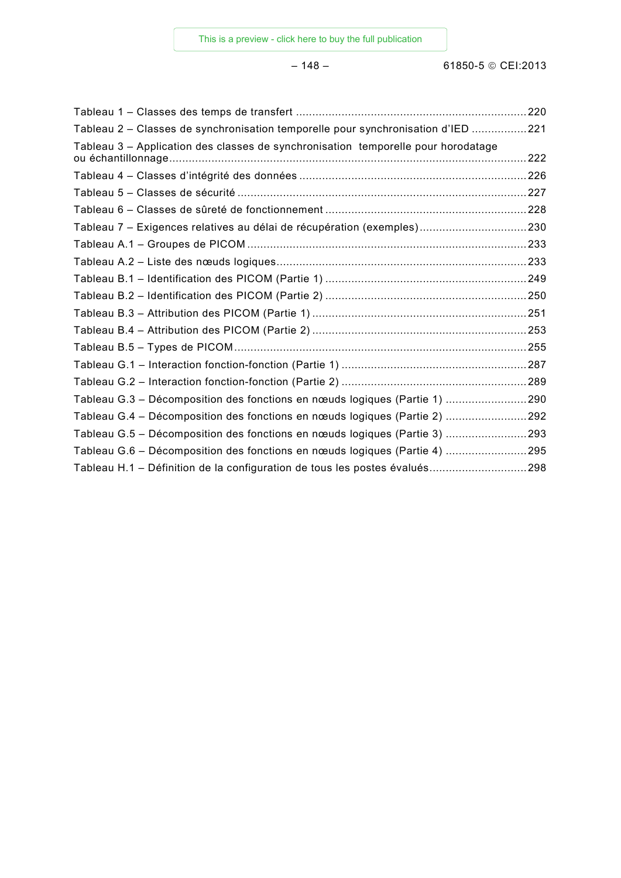| Tableau 2 - Classes de synchronisation temporelle pour synchronisation d'IED 221  |  |
|-----------------------------------------------------------------------------------|--|
| Tableau 3 - Application des classes de synchronisation temporelle pour horodatage |  |
|                                                                                   |  |
|                                                                                   |  |
|                                                                                   |  |
| Tableau 7 - Exigences relatives au délai de récupération (exemples)230            |  |
|                                                                                   |  |
|                                                                                   |  |
|                                                                                   |  |
|                                                                                   |  |
|                                                                                   |  |
|                                                                                   |  |
|                                                                                   |  |
|                                                                                   |  |
|                                                                                   |  |
| Tableau G.3 - Décomposition des fonctions en nœuds logiques (Partie 1) 290        |  |
| Tableau G.4 - Décomposition des fonctions en nœuds logiques (Partie 2) 292        |  |
| Tableau G.5 - Décomposition des fonctions en nœuds logiques (Partie 3) 293        |  |
| Tableau G.6 - Décomposition des fonctions en nœuds logiques (Partie 4) 295        |  |
| Tableau H.1 - Définition de la configuration de tous les postes évalués298        |  |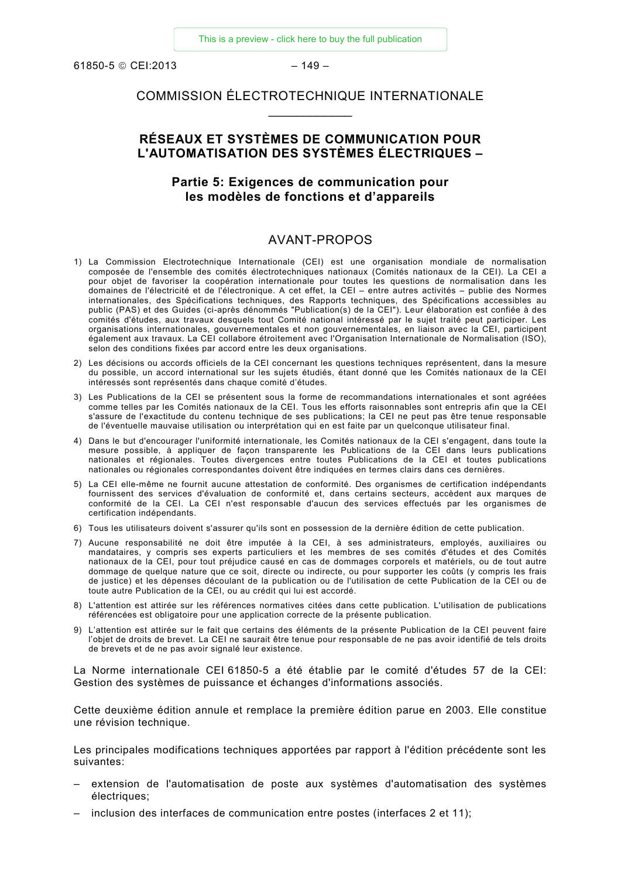$61850 - 5 \circ \text{CE}$ 1:2013 – 149 –

### COMMISSION ÉLECTROTECHNIQUE INTERNATIONALE \_\_\_\_\_\_\_\_\_\_\_\_

### **RÉSEAUX ET SYSTÈMES DE COMMUNICATION POUR L'AUTOMATISATION DES SYSTÈMES ÉLECTRIQUES –**

### **Partie 5: Exigences de communication pour les modèles de fonctions et d'appareils**

### AVANT-PROPOS

- 1) La Commission Electrotechnique Internationale (CEI) est une organisation mondiale de normalisation composée de l'ensemble des comités électrotechniques nationaux (Comités nationaux de la CEI). La CEI a pour objet de favoriser la coopération internationale pour toutes les questions de normalisation dans les domaines de l'électricité et de l'électronique. A cet effet, la CEI – entre autres activités – publie des Normes internationales, des Spécifications techniques, des Rapports techniques, des Spécifications accessibles au public (PAS) et des Guides (ci-après dénommés "Publication(s) de la CEI"). Leur élaboration est confiée à des comités d'études, aux travaux desquels tout Comité national intéressé par le sujet traité peut participer. Les organisations internationales, gouvernementales et non gouvernementales, en liaison avec la CEI, participent également aux travaux. La CEI collabore étroitement avec l'Organisation Internationale de Normalisation (ISO), selon des conditions fixées par accord entre les deux organisations.
- 2) Les décisions ou accords officiels de la CEI concernant les questions techniques représentent, dans la mesure du possible, un accord international sur les sujets étudiés, étant donné que les Comités nationaux de la CEI intéressés sont représentés dans chaque comité d'études.
- 3) Les Publications de la CEI se présentent sous la forme de recommandations internationales et sont agréées comme telles par les Comités nationaux de la CEI. Tous les efforts raisonnables sont entrepris afin que la CEI s'assure de l'exactitude du contenu technique de ses publications; la CEI ne peut pas être tenue responsable de l'éventuelle mauvaise utilisation ou interprétation qui en est faite par un quelconque utilisateur final.
- 4) Dans le but d'encourager l'uniformité internationale, les Comités nationaux de la CEI s'engagent, dans toute la mesure possible, à appliquer de façon transparente les Publications de la CEI dans leurs publications nationales et régionales. Toutes divergences entre toutes Publications de la CEI et toutes publications nationales ou régionales correspondantes doivent être indiquées en termes clairs dans ces dernières.
- 5) La CEI elle-même ne fournit aucune attestation de conformité. Des organismes de certification indépendants fournissent des services d'évaluation de conformité et, dans certains secteurs, accèdent aux marques de conformité de la CEI. La CEI n'est responsable d'aucun des services effectués par les organismes de certification indépendants.
- 6) Tous les utilisateurs doivent s'assurer qu'ils sont en possession de la dernière édition de cette publication.
- 7) Aucune responsabilité ne doit être imputée à la CEI, à ses administrateurs, employés, auxiliaires ou mandataires, y compris ses experts particuliers et les membres de ses comités d'études et des Comités nationaux de la CEI, pour tout préjudice causé en cas de dommages corporels et matériels, ou de tout autre dommage de quelque nature que ce soit, directe ou indirecte, ou pour supporter les coûts (y compris les frais de justice) et les dépenses découlant de la publication ou de l'utilisation de cette Publication de la CEI ou de toute autre Publication de la CEI, ou au crédit qui lui est accordé.
- 8) L'attention est attirée sur les références normatives citées dans cette publication. L'utilisation de publications référencées est obligatoire pour une application correcte de la présente publication.
- 9) L'attention est attirée sur le fait que certains des éléments de la présente Publication de la CEI peuvent faire l'objet de droits de brevet. La CEI ne saurait être tenue pour responsable de ne pas avoir identifié de tels droits de brevets et de ne pas avoir signalé leur existence.

La Norme internationale CEI 61850-5 a été établie par le comité d'études 57 de la CEI: Gestion des systèmes de puissance et échanges d'informations associés.

Cette deuxième édition annule et remplace la première édition parue en 2003. Elle constitue une révision technique.

Les principales modifications techniques apportées par rapport à l'édition précédente sont les suivantes:

- extension de l'automatisation de poste aux systèmes d'automatisation des systèmes électriques;
- inclusion des interfaces de communication entre postes (interfaces 2 et 11);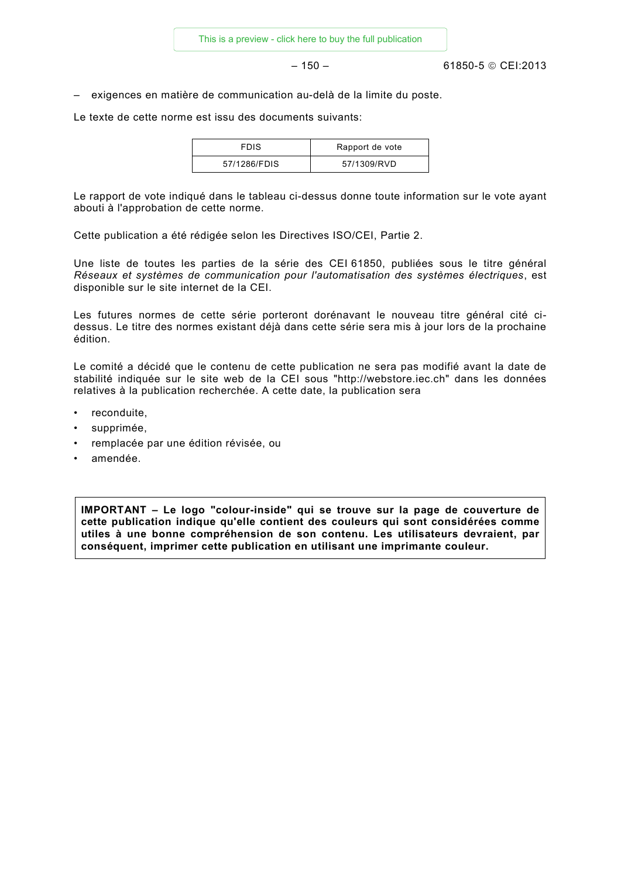$-150 - 61850 - 5 \odot \text{CE}$ 

– exigences en matière de communication au-delà de la limite du poste.

Le texte de cette norme est issu des documents suivants:

| FDIS         | Rapport de vote |
|--------------|-----------------|
| 57/1286/FDIS | 57/1309/RVD     |

Le rapport de vote indiqué dans le tableau ci-dessus donne toute information sur le vote ayant abouti à l'approbation de cette norme.

Cette publication a été rédigée selon les Directives ISO/CEI, Partie 2.

Une liste de toutes les parties de la série des CEI 61850, publiées sous le titre général *Réseaux et systèmes de communication pour l'automatisation des systèmes électriques*, est disponible sur le site internet de la CEI.

Les futures normes de cette série porteront dorénavant le nouveau titre général cité cidessus. Le titre des normes existant déjà dans cette série sera mis à jour lors de la prochaine édition.

Le comité a décidé que le contenu de cette publication ne sera pas modifié avant la date de stabilité indiquée sur le site web de la CEI sous "http://webstore.iec.ch" dans les données relatives à la publication recherchée. A cette date, la publication sera

- reconduite,
- supprimée,
- remplacée par une édition révisée, ou
- amendée.

**IMPORTANT – Le logo "colour-inside" qui se trouve sur la page de couverture de cette publication indique qu'elle contient des couleurs qui sont considérées comme utiles à une bonne compréhension de son contenu. Les utilisateurs devraient, par conséquent, imprimer cette publication en utilisant une imprimante couleur.**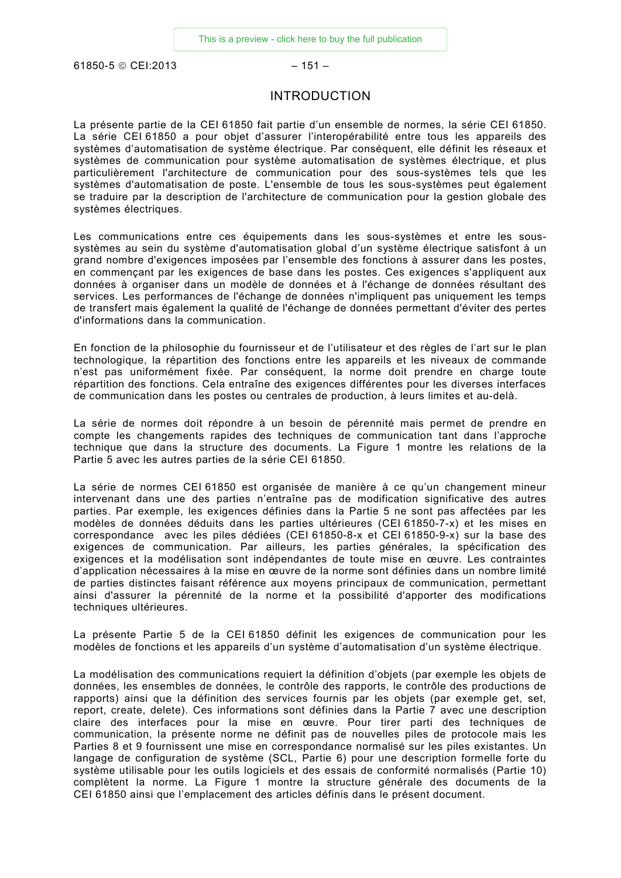$61850 - 5 \circ \text{CE}$  : 2013 – 151 –

### INTRODUCTION

La présente partie de la CEI 61850 fait partie d'un ensemble de normes, la série CEI 61850. La série CEI 61850 a pour objet d'assurer l'interopérabilité entre tous les appareils des systèmes d'automatisation de système électrique. Par conséquent, elle définit les réseaux et systèmes de communication pour système automatisation de systèmes électrique, et plus particulièrement l'architecture de communication pour des sous-systèmes tels que les systèmes d'automatisation de poste. L'ensemble de tous les sous-systèmes peut également se traduire par la description de l'architecture de communication pour la gestion globale des systèmes électriques.

Les communications entre ces équipements dans les sous-systèmes et entre les soussystèmes au sein du système d'automatisation global d'un système électrique satisfont à un grand nombre d'exigences imposées par l'ensemble des fonctions à assurer dans les postes, en commençant par les exigences de base dans les postes. Ces exigences s'appliquent aux données à organiser dans un modèle de données et à l'échange de données résultant des services. Les performances de l'échange de données n'impliquent pas uniquement les temps de transfert mais également la qualité de l'échange de données permettant d'éviter des pertes d'informations dans la communication.

En fonction de la philosophie du fournisseur et de l'utilisateur et des règles de l'art sur le plan technologique, la répartition des fonctions entre les appareils et les niveaux de commande n'est pas uniformément fixée. Par conséquent, la norme doit prendre en charge toute répartition des fonctions. Cela entraîne des exigences différentes pour les diverses interfaces de communication dans les postes ou centrales de production, à leurs limites et au-delà.

La série de normes doit répondre à un besoin de pérennité mais permet de prendre en compte les changements rapides des techniques de communication tant dans l'approche technique que dans la structure des documents. La [Figure 1](#page-20-0) montre les relations de la Partie 5 avec les autres parties de la série CEI 61850.

La série de normes CEI 61850 est organisée de manière à ce qu'un changement mineur intervenant dans une des parties n'entraîne pas de modification significative des autres parties. Par exemple, les exigences définies dans la Partie 5 ne sont pas affectées par les modèles de données déduits dans les parties ultérieures (CEI 61850-7-x) et les mises en correspondance avec les piles dédiées (CEI 61850-8-x et CEI 61850-9-x) sur la base des exigences de communication. Par ailleurs, les parties générales, la spécification des exigences et la modélisation sont indépendantes de toute mise en œuvre. Les contraintes d'application nécessaires à la mise en œuvre de la norme sont définies dans un nombre limité de parties distinctes faisant référence aux moyens principaux de communication, permettant ainsi d'assurer la pérennité de la norme et la possibilité d'apporter des modifications techniques ultérieures.

La présente Partie 5 de la CEI 61850 définit les exigences de communication pour les modèles de fonctions et les appareils d'un système d'automatisation d'un système électrique.

La modélisation des communications requiert la définition d'objets (par exemple les objets de données, les ensembles de données, le contrôle des rapports, le contrôle des productions de rapports) ainsi que la définition des services fournis par les objets (par exemple get, set, report, create, delete). Ces informations sont définies dans la Partie 7 avec une description claire des interfaces pour la mise en œuvre. Pour tirer parti des techniques de communication, la présente norme ne définit pas de nouvelles piles de protocole mais les Parties 8 et 9 fournissent une mise en correspondance normalisé sur les piles existantes. Un langage de configuration de système (SCL, Partie 6) pour une description formelle forte du système utilisable pour les outils logiciels et des essais de conformité normalisés (Partie 10) complètent la norme. La [Figure 1](#page-20-0) montre la structure générale des documents de la CEI 61850 ainsi que l'emplacement des articles définis dans le présent document.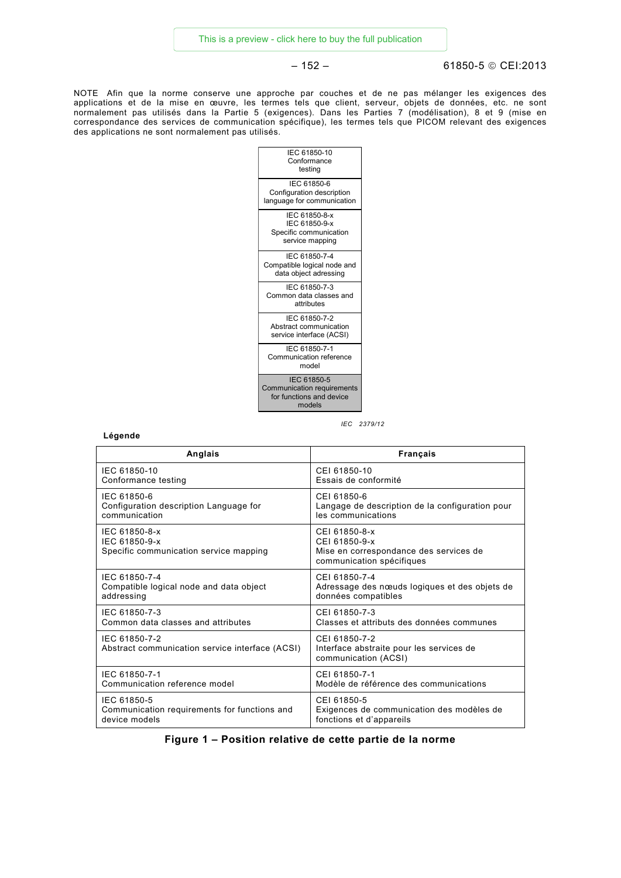– 152 – 61850-5 CEI:2013

NOTE Afin que la norme conserve une approche par couches et de ne pas mélanger les exigences des applications et de la mise en œuvre, les termes tels que client, serveur, objets de données, etc. ne sont normalement pas utilisés dans la Partie 5 (exigences). Dans les Parties 7 (modélisation), 8 et 9 (mise en correspondance des services de communication spécifique), les termes tels que PICOM relevant des exigences des applications ne sont normalement pas utilisés.

| IFC 61850-10<br>Conformance<br>testing                                          |  |
|---------------------------------------------------------------------------------|--|
| IEC 61850-6<br>Configuration description<br>language for communication          |  |
| IEC 61850-8-x<br>IEC 61850-9-x<br>Specific communication<br>service mapping     |  |
| IEC 61850-7-4<br>Compatible logical node and<br>data object adressing           |  |
| IEC 61850-7-3<br>Common data classes and<br>attributes                          |  |
| IFC 61850-7-2<br>Abstract communication<br>service interface (ACSI)             |  |
| IEC 61850-7-1<br>Communication reference<br>model                               |  |
| IEC 61850-5<br>Communication requirements<br>for functions and device<br>models |  |

*IEC 2379/12*

### **Légende**

| Anglais                                                                  | <b>Français</b>                                                                                       |
|--------------------------------------------------------------------------|-------------------------------------------------------------------------------------------------------|
| IEC 61850-10                                                             | CEI 61850-10                                                                                          |
| Conformance testing                                                      | Essais de conformité                                                                                  |
| IEC 61850-6                                                              | CEI 61850-6                                                                                           |
| Configuration description Language for                                   | Langage de description de la configuration pour                                                       |
| communication                                                            | les communications                                                                                    |
| IEC 61850-8-x<br>IEC 61850-9-x<br>Specific communication service mapping | CEI 61850-8-x<br>CEI 61850-9-x<br>Mise en correspondance des services de<br>communication spécifiques |
| IFC 61850-7-4                                                            | CFI 61850-7-4                                                                                         |
| Compatible logical node and data object                                  | Adressage des nœuds logiques et des objets de                                                         |
| addressing                                                               | données compatibles                                                                                   |
| IEC 61850-7-3                                                            | CEI 61850-7-3                                                                                         |
| Common data classes and attributes                                       | Classes et attributs des données communes                                                             |
| IEC 61850-7-2<br>Abstract communication service interface (ACSI)         | CEI 61850-7-2<br>Interface abstraite pour les services de<br>communication (ACSI)                     |
| IEC 61850-7-1                                                            | CEI 61850-7-1                                                                                         |
| Communication reference model                                            | Modèle de référence des communications                                                                |
| IEC 61850-5                                                              | CEI 61850-5                                                                                           |
| Communication requirements for functions and                             | Exigences de communication des modèles de                                                             |
| device models                                                            | fonctions et d'appareils                                                                              |

<span id="page-20-0"></span>**Figure 1 – Position relative de cette partie de la norme**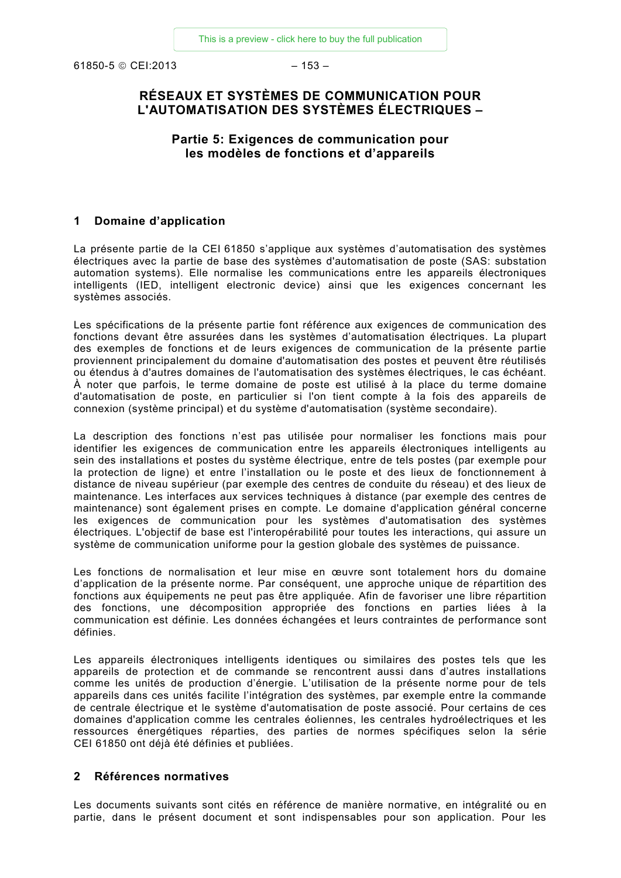$61850 - 5 \circ \text{CE}$ 1:2013 – 153 –

### **RÉSEAUX ET SYSTÈMES DE COMMUNICATION POUR L'AUTOMATISATION DES SYSTÈMES ÉLECTRIQUES –**

### **Partie 5: Exigences de communication pour les modèles de fonctions et d'appareils**

### **1 Domaine d'application**

La présente partie de la CEI 61850 s'applique aux systèmes d'automatisation des systèmes électriques avec la partie de base des systèmes d'automatisation de poste (SAS: substation automation systems). Elle normalise les communications entre les appareils électroniques intelligents (IED, intelligent electronic device) ainsi que les exigences concernant les systèmes associés.

Les spécifications de la présente partie font référence aux exigences de communication des fonctions devant être assurées dans les systèmes d'automatisation électriques. La plupart des exemples de fonctions et de leurs exigences de communication de la présente partie proviennent principalement du domaine d'automatisation des postes et peuvent être réutilisés ou étendus à d'autres domaines de l'automatisation des systèmes électriques, le cas échéant. À noter que parfois, le terme domaine de poste est utilisé à la place du terme domaine d'automatisation de poste, en particulier si l'on tient compte à la fois des appareils de connexion (système principal) et du système d'automatisation (système secondaire).

La description des fonctions n'est pas utilisée pour normaliser les fonctions mais pour identifier les exigences de communication entre les appareils électroniques intelligents au sein des installations et postes du système électrique, entre de tels postes (par exemple pour la protection de ligne) et entre l'installation ou le poste et des lieux de fonctionnement à distance de niveau supérieur (par exemple des centres de conduite du réseau) et des lieux de maintenance. Les interfaces aux services techniques à distance (par exemple des centres de maintenance) sont également prises en compte. Le domaine d'application général concerne les exigences de communication pour les systèmes d'automatisation des systèmes électriques. L'objectif de base est l'interopérabilité pour toutes les interactions, qui assure un système de communication uniforme pour la gestion globale des systèmes de puissance.

Les fonctions de normalisation et leur mise en œuvre sont totalement hors du domaine d'application de la présente norme. Par conséquent, une approche unique de répartition des fonctions aux équipements ne peut pas être appliquée. Afin de favoriser une libre répartition des fonctions, une décomposition appropriée des fonctions en parties liées à la communication est définie. Les données échangées et leurs contraintes de performance sont définies.

Les appareils électroniques intelligents identiques ou similaires des postes tels que les appareils de protection et de commande se rencontrent aussi dans d'autres installations comme les unités de production d'énergie. L'utilisation de la présente norme pour de tels appareils dans ces unités facilite l'intégration des systèmes, par exemple entre la commande de centrale électrique et le système d'automatisation de poste associé. Pour certains de ces domaines d'application comme les centrales éoliennes, les centrales hydroélectriques et les ressources énergétiques réparties, des parties de normes spécifiques selon la série CEI 61850 ont déjà été définies et publiées.

### **2 Références normatives**

Les documents suivants sont cités en référence de manière normative, en intégralité ou en partie, dans le présent document et sont indispensables pour son application. Pour les